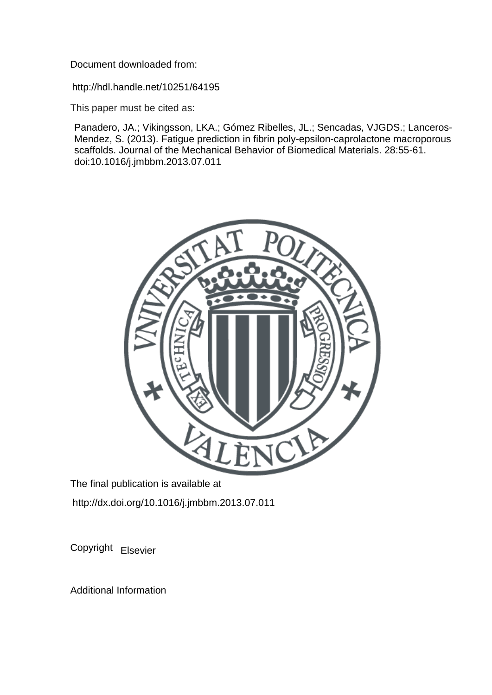Document downloaded from:

http://hdl.handle.net/10251/64195

This paper must be cited as:

Panadero, JA.; Vikingsson, LKA.; Gómez Ribelles, JL.; Sencadas, VJGDS.; Lanceros-Mendez, S. (2013). Fatigue prediction in fibrin poly-epsilon-caprolactone macroporous scaffolds. Journal of the Mechanical Behavior of Biomedical Materials. 28:55-61. doi:10.1016/j.jmbbm.2013.07.011



The final publication is available at http://dx.doi.org/10.1016/j.jmbbm.2013.07.011

Copyright Elsevier

Additional Information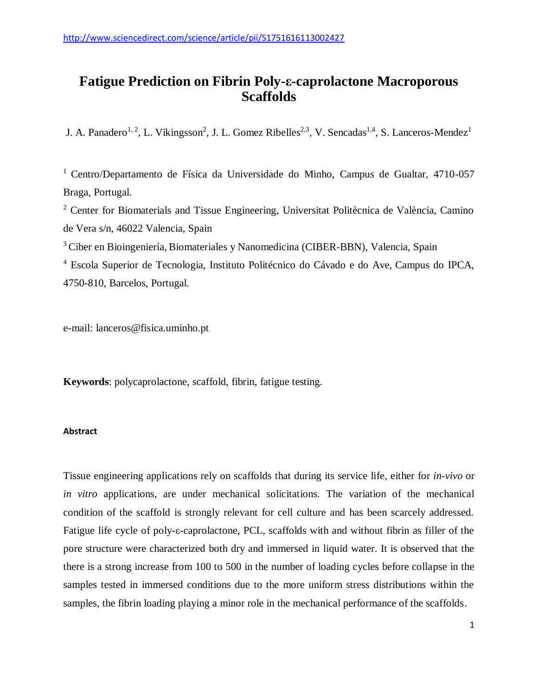# **Fatigue Prediction on Fibrin Poly-ε-caprolactone Macroporous Scaffolds**

J. A. Panadero<sup>1, 2</sup>, L. Vikingsson<sup>2</sup>, J. L. Gomez Ribelles<sup>2,3</sup>, V. Sencadas<sup>1,4</sup>, S. Lanceros-Mendez<sup>1</sup>

<sup>1</sup> Centro/Departamento de Física da Universidade do Minho, Campus de Gualtar, 4710-057 Braga, Portugal.

<sup>2</sup> Center for Biomaterials and Tissue Engineering, Universitat Politècnica de València, Camino de Vera s/n, 46022 Valencia, Spain

<sup>3</sup>Ciber en Bioingeniería, Biomateriales y Nanomedicina (CIBER-BBN), Valencia, Spain

<sup>4</sup> Escola Superior de Tecnologia, Instituto Politécnico do Cávado e do Ave, Campus do IPCA, 4750-810, Barcelos, Portugal.

e-mail: lanceros@fisica.uminho.pt

**Keywords**: polycaprolactone, scaffold, fibrin, fatigue testing.

## **Abstract**

Tissue engineering applications rely on scaffolds that during its service life, either for *in-vivo* or *in vitro* applications, are under mechanical solicitations. The variation of the mechanical condition of the scaffold is strongly relevant for cell culture and has been scarcely addressed. Fatigue life cycle of poly-ε-caprolactone, PCL, scaffolds with and without fibrin as filler of the pore structure were characterized both dry and immersed in liquid water. It is observed that the there is a strong increase from 100 to 500 in the number of loading cycles before collapse in the samples tested in immersed conditions due to the more uniform stress distributions within the samples, the fibrin loading playing a minor role in the mechanical performance of the scaffolds.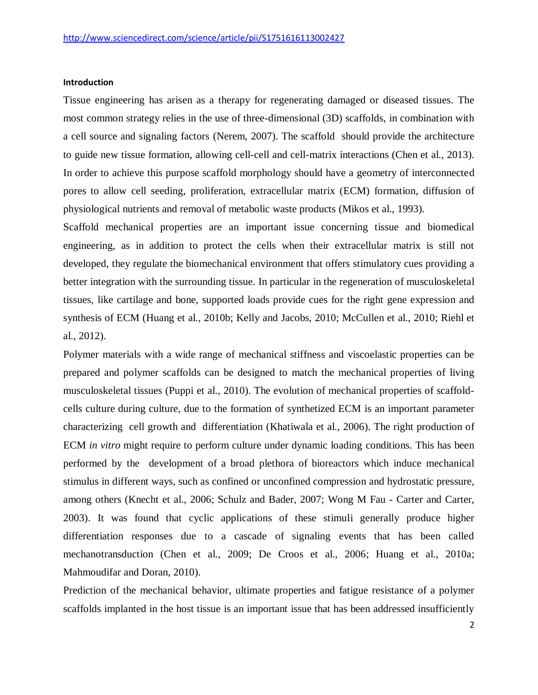## **Introduction**

Tissue engineering has arisen as a therapy for regenerating damaged or diseased tissues. The most common strategy relies in the use of three-dimensional (3D) scaffolds, in combination with a cell source and signaling factors [\(Nerem, 2007\)](#page-15-0). The scaffold should provide the architecture to guide new tissue formation, allowing cell-cell and cell-matrix interactions [\(Chen et al., 2013\)](#page-12-0). In order to achieve this purpose scaffold morphology should have a geometry of interconnected pores to allow cell seeding, proliferation, extracellular matrix (ECM) formation, diffusion of physiological nutrients and removal of metabolic waste products [\(Mikos et al., 1993\)](#page-15-1).

Scaffold mechanical properties are an important issue concerning tissue and biomedical engineering, as in addition to protect the cells when their extracellular matrix is still not developed, they regulate the biomechanical environment that offers stimulatory cues providing a better integration with the surrounding tissue. In particular in the regeneration of musculoskeletal tissues, like cartilage and bone, supported loads provide cues for the right gene expression and synthesis of ECM [\(Huang et al., 2010b;](#page-13-0) [Kelly and Jacobs, 2010;](#page-14-0) [McCullen et al., 2010;](#page-15-2) [Riehl et](#page-15-3)  [al., 2012\)](#page-15-3).

Polymer materials with a wide range of mechanical stiffness and viscoelastic properties can be prepared and polymer scaffolds can be designed to match the mechanical properties of living musculoskeletal tissues [\(Puppi et al., 2010\)](#page-15-4). The evolution of mechanical properties of scaffoldcells culture during culture, due to the formation of synthetized ECM is an important parameter characterizing cell growth and differentiation [\(Khatiwala et al., 2006\)](#page-14-1). The right production of ECM *in vitro* might require to perform culture under dynamic loading conditions. This has been performed by the development of a broad plethora of bioreactors which induce mechanical stimulus in different ways, such as confined or unconfined compression and hydrostatic pressure, among others [\(Knecht et al., 2006;](#page-14-2) [Schulz and Bader, 2007;](#page-16-0) Wong M Fau - [Carter and Carter,](#page-16-1)  [2003\)](#page-16-1). It was found that cyclic applications of these stimuli generally produce higher differentiation responses due to a cascade of signaling events that has been called mechanotransduction [\(Chen et al., 2009;](#page-12-1) [De Croos et al., 2006;](#page-13-1) [Huang et al., 2010a;](#page-13-2) [Mahmoudifar and Doran, 2010\)](#page-14-3).

Prediction of the mechanical behavior, ultimate properties and fatigue resistance of a polymer scaffolds implanted in the host tissue is an important issue that has been addressed insufficiently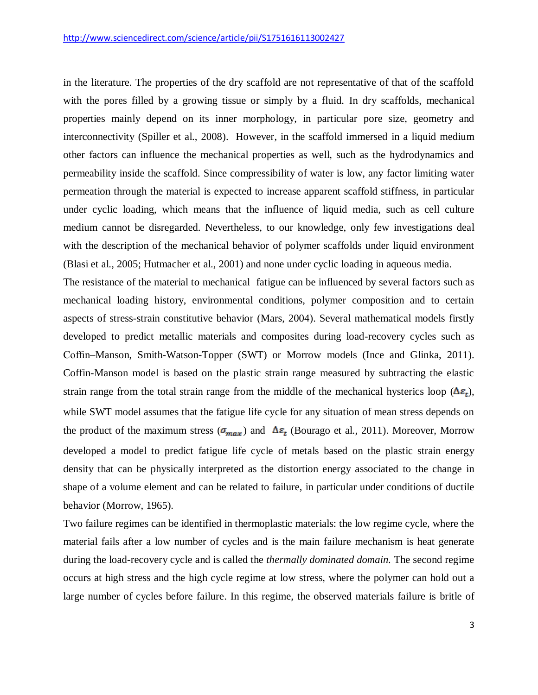in the literature. The properties of the dry scaffold are not representative of that of the scaffold with the pores filled by a growing tissue or simply by a fluid. In dry scaffolds, mechanical properties mainly depend on its inner morphology, in particular pore size, geometry and interconnectivity [\(Spiller et al., 2008\)](#page-16-2). However, in the scaffold immersed in a liquid medium other factors can influence the mechanical properties as well, such as the hydrodynamics and permeability inside the scaffold. Since compressibility of water is low, any factor limiting water permeation through the material is expected to increase apparent scaffold stiffness, in particular under cyclic loading, which means that the influence of liquid media, such as cell culture medium cannot be disregarded. Nevertheless, to our knowledge, only few investigations deal with the description of the mechanical behavior of polymer scaffolds under liquid environment [\(Blasi et al., 2005;](#page-12-2) [Hutmacher et al., 2001\)](#page-13-3) and none under cyclic loading in aqueous media.

The resistance of the material to mechanical fatigue can be influenced by several factors such as mechanical loading history, environmental conditions, polymer composition and to certain aspects of stress-strain constitutive behavior [\(Mars, 2004\)](#page-14-4). Several mathematical models firstly developed to predict metallic materials and composites during load-recovery cycles such as Coffin–Manson, Smith-Watson-Topper (SWT) or Morrow models [\(Ince and Glinka, 2011\)](#page-13-4). Coffin-Manson model is based on the plastic strain range measured by subtracting the elastic strain range from the total strain range from the middle of the mechanical hysterics loop  $(\Delta \varepsilon_t)$ , while SWT model assumes that the fatigue life cycle for any situation of mean stress depends on the product of the maximum stress ( $\sigma_{max}$ ) and  $\Delta \varepsilon_t$  [\(Bourago et al., 2011\)](#page-12-3). Moreover, Morrow developed a model to predict fatigue life cycle of metals based on the plastic strain energy density that can be physically interpreted as the distortion energy associated to the change in shape of a volume element and can be related to failure, in particular under conditions of ductile behavior [\(Morrow, 1965\)](#page-15-5).

Two failure regimes can be identified in thermoplastic materials: the low regime cycle, where the material fails after a low number of cycles and is the main failure mechanism is heat generate during the load-recovery cycle and is called the *thermally dominated domain.* The second regime occurs at high stress and the high cycle regime at low stress, where the polymer can hold out a large number of cycles before failure. In this regime, the observed materials failure is britle of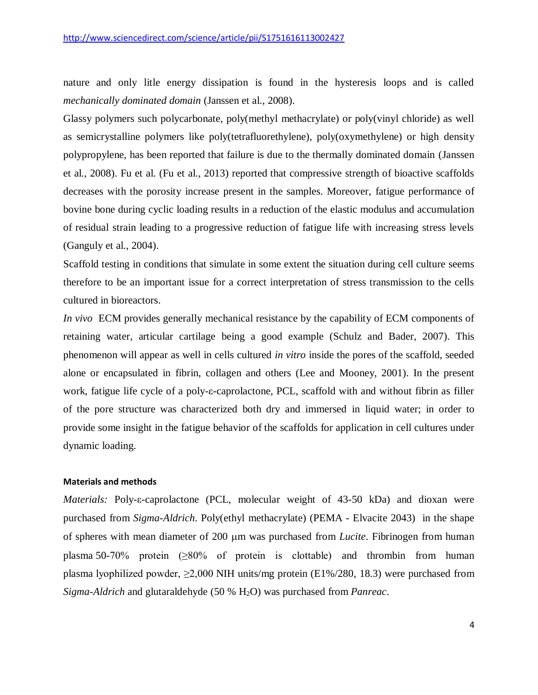nature and only litle energy dissipation is found in the hysteresis loops and is called *mechanically dominated domain* [\(Janssen et al., 2008\)](#page-14-5).

Glassy polymers such polycarbonate, poly(methyl methacrylate) or poly(vinyl chloride) as well as semicrystalline polymers like poly(tetrafluorethylene), poly(oxymethylene) or high density polypropylene, has been reported that failure is due to the thermally dominated domain [\(Janssen](#page-14-5)  [et al., 2008\)](#page-14-5). Fu et al. [\(Fu et al., 2013\)](#page-13-5) reported that compressive strength of bioactive scaffolds decreases with the porosity increase present in the samples. Moreover, fatigue performance of bovine bone during cyclic loading results in a reduction of the elastic modulus and accumulation of residual strain leading to a progressive reduction of fatigue life with increasing stress levels [\(Ganguly et al., 2004\)](#page-13-6).

Scaffold testing in conditions that simulate in some extent the situation during cell culture seems therefore to be an important issue for a correct interpretation of stress transmission to the cells cultured in bioreactors.

*In vivo* ECM provides generally mechanical resistance by the capability of ECM components of retaining water, articular cartilage being a good example [\(Schulz and Bader, 2007\)](#page-16-0). This phenomenon will appear as well in cells cultured *in vitro* inside the pores of the scaffold, seeded alone or encapsulated in fibrin, collagen and others [\(Lee and Mooney, 2001\)](#page-14-6). In the present work, fatigue life cycle of a poly-ε-caprolactone, PCL, scaffold with and without fibrin as filler of the pore structure was characterized both dry and immersed in liquid water; in order to provide some insight in the fatigue behavior of the scaffolds for application in cell cultures under dynamic loading.

#### **Materials and methods**

*Materials:* Poly-ε-caprolactone (PCL, molecular weight of 43-50 kDa) and dioxan were purchased from *Sigma-Aldrich*. Poly(ethyl methacrylate) (PEMA - Elvacite 2043) in the shape of spheres with mean diameter of 200 µm was purchased from *Lucite*. Fibrinogen from human plasma 50-70% protein (≥80% of protein is clottable) and thrombin from human plasma lyophilized powder,  $\geq 2,000$  NIH units/mg protein (E1%/280, 18.3) were purchased from *Sigma-Aldrich* and glutaraldehyde (50 % H2O) was purchased from *Panreac*.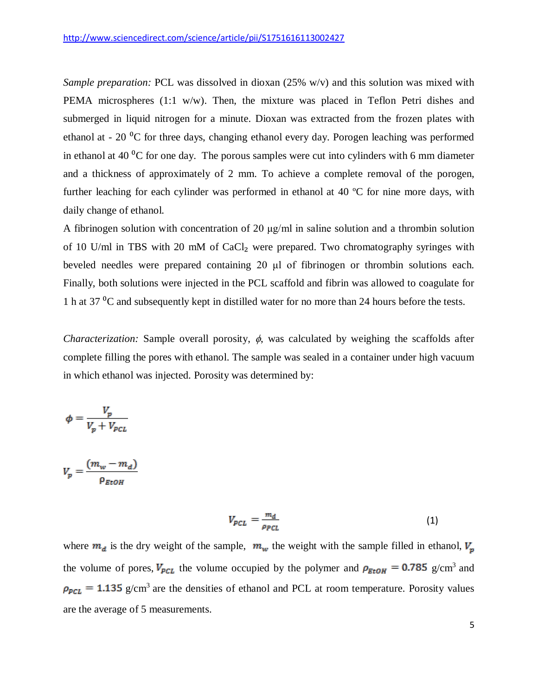*Sample preparation:* PCL was dissolved in dioxan (25% w/v) and this solution was mixed with PEMA microspheres (1:1 w/w). Then, the mixture was placed in Teflon Petri dishes and submerged in liquid nitrogen for a minute. Dioxan was extracted from the frozen plates with ethanol at -  $20<sup>0</sup>C$  for three days, changing ethanol every day. Porogen leaching was performed in ethanol at 40 $\rm{^0C}$  for one day. The porous samples were cut into cylinders with 6 mm diameter and a thickness of approximately of 2 mm. To achieve a complete removal of the porogen, further leaching for each cylinder was performed in ethanol at 40 ºC for nine more days, with daily change of ethanol.

A fibrinogen solution with concentration of 20 μg/ml in saline solution and a thrombin solution of 10 U/ml in TBS with 20 mM of CaCl<sub>2</sub> were prepared. Two chromatography syringes with beveled needles were prepared containing 20 μl of fibrinogen or thrombin solutions each. Finally, both solutions were injected in the PCL scaffold and fibrin was allowed to coagulate for 1 h at 37 <sup>o</sup>C and subsequently kept in distilled water for no more than 24 hours before the tests.

*Characterization:* Sample overall porosity,  $\phi$ , was calculated by weighing the scaffolds after complete filling the pores with ethanol. The sample was sealed in a container under high vacuum in which ethanol was injected. Porosity was determined by:

$$
\phi = \frac{V_p}{V_p + V_{PCL}}
$$

$$
V_p = \frac{(m_w - m_d)}{\rho_{EtOH}}
$$

$$
V_{PCL} = \frac{m_d}{\rho_{PCL}}\tag{1}
$$

where  $m_d$  is the dry weight of the sample,  $m_w$  the weight with the sample filled in ethanol,  $V_p$ the volume of pores,  $V_{PCL}$  the volume occupied by the polymer and  $\rho_{EtOH} = 0.785$  g/cm<sup>3</sup> and  $g/cm<sup>3</sup>$  are the densities of ethanol and PCL at room temperature. Porosity values are the average of 5 measurements.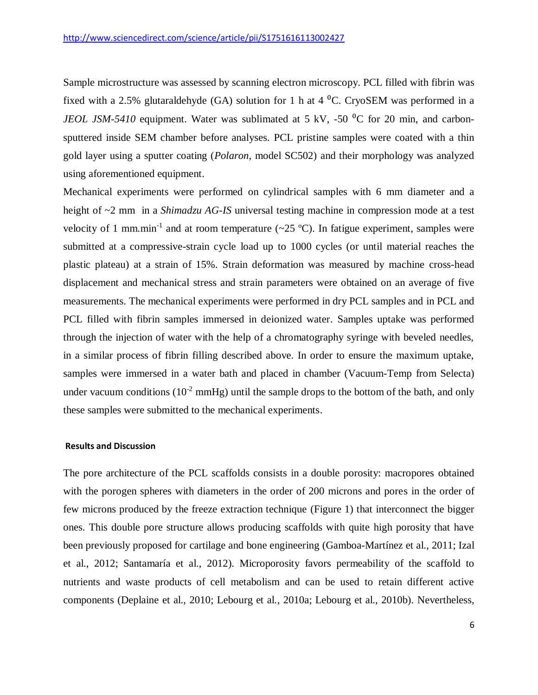Sample microstructure was assessed by scanning electron microscopy. PCL filled with fibrin was fixed with a 2.5% glutaraldehyde (GA) solution for 1 h at 4  $^0C$ . CryoSEM was performed in a *JEOL JSM-5410* equipment. Water was sublimated at 5 kV, -50<sup>o</sup>C for 20 min, and carbonsputtered inside SEM chamber before analyses. PCL pristine samples were coated with a thin gold layer using a sputter coating (*Polaron,* model SC502) and their morphology was analyzed using aforementioned equipment.

Mechanical experiments were performed on cylindrical samples with 6 mm diameter and a height of  $\sim$ 2 mm in a *Shimadzu AG-IS* universal testing machine in compression mode at a test velocity of 1 mm.min<sup>-1</sup> and at room temperature ( $\sim$ 25 °C). In fatigue experiment, samples were submitted at a compressive-strain cycle load up to 1000 cycles (or until material reaches the plastic plateau) at a strain of 15%. Strain deformation was measured by machine cross-head displacement and mechanical stress and strain parameters were obtained on an average of five measurements. The mechanical experiments were performed in dry PCL samples and in PCL and PCL filled with fibrin samples immersed in deionized water. Samples uptake was performed through the injection of water with the help of a chromatography syringe with beveled needles, in a similar process of fibrin filling described above. In order to ensure the maximum uptake, samples were immersed in a water bath and placed in chamber (Vacuum-Temp from Selecta) under vacuum conditions  $(10^{-2} \text{ mmHg})$  until the sample drops to the bottom of the bath, and only these samples were submitted to the mechanical experiments.

#### **Results and Discussion**

The pore architecture of the PCL scaffolds consists in a double porosity: macropores obtained with the porogen spheres with diameters in the order of 200 microns and pores in the order of few microns produced by the freeze extraction technique (Figure 1) that interconnect the bigger ones. This double pore structure allows producing scaffolds with quite high porosity that have been previously proposed for cartilage and bone engineering [\(Gamboa-Martínez et al., 2011;](#page-13-7) [Izal](#page-13-8)  [et al., 2012;](#page-13-8) [Santamaría et al., 2012\)](#page-15-6). Microporosity favors permeability of the scaffold to nutrients and waste products of cell metabolism and can be used to retain different active components [\(Deplaine et al., 2010;](#page-13-9) [Lebourg et al., 2010a;](#page-14-7) [Lebourg et al., 2010b\)](#page-14-8). Nevertheless,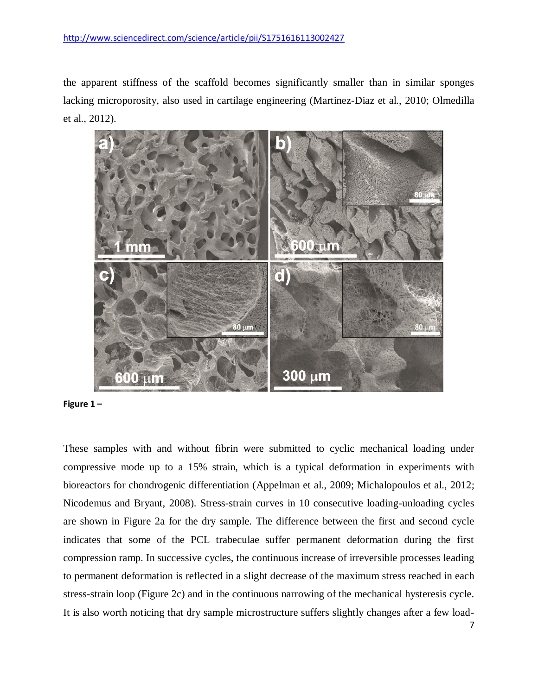the apparent stiffness of the scaffold becomes significantly smaller than in similar sponges lacking microporosity, also used in cartilage engineering [\(Martinez-Diaz et al., 2010;](#page-14-9) [Olmedilla](#page-15-7)  [et al., 2012\)](#page-15-7).





These samples with and without fibrin were submitted to cyclic mechanical loading under compressive mode up to a 15% strain, which is a typical deformation in experiments with bioreactors for chondrogenic differentiation [\(Appelman et al., 2009;](#page-12-4) [Michalopoulos et al., 2012;](#page-15-8) [Nicodemus and Bryant, 2008\)](#page-15-9). Stress-strain curves in 10 consecutive loading-unloading cycles are shown in Figure 2a for the dry sample. The difference between the first and second cycle indicates that some of the PCL trabeculae suffer permanent deformation during the first compression ramp. In successive cycles, the continuous increase of irreversible processes leading to permanent deformation is reflected in a slight decrease of the maximum stress reached in each stress-strain loop (Figure 2c) and in the continuous narrowing of the mechanical hysteresis cycle. It is also worth noticing that dry sample microstructure suffers slightly changes after a few load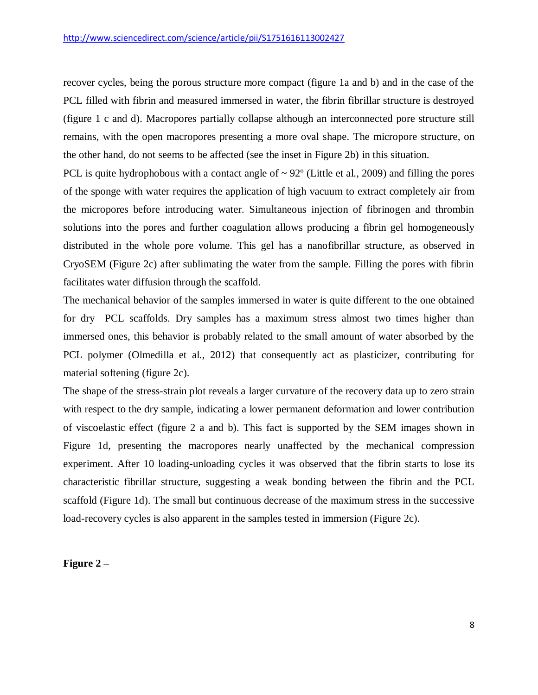recover cycles, being the porous structure more compact (figure 1a and b) and in the case of the PCL filled with fibrin and measured immersed in water, the fibrin fibrillar structure is destroyed (figure 1 c and d). Macropores partially collapse although an interconnected pore structure still remains, with the open macropores presenting a more oval shape. The micropore structure, on the other hand, do not seems to be affected (see the inset in Figure 2b) in this situation.

PCL is quite hydrophobous with a contact angle of  $\sim 92^{\circ}$  [\(Little et al., 2009\)](#page-14-10) and filling the pores of the sponge with water requires the application of high vacuum to extract completely air from the micropores before introducing water. Simultaneous injection of fibrinogen and thrombin solutions into the pores and further coagulation allows producing a fibrin gel homogeneously distributed in the whole pore volume. This gel has a nanofibrillar structure, as observed in CryoSEM (Figure 2c) after sublimating the water from the sample. Filling the pores with fibrin facilitates water diffusion through the scaffold.

The mechanical behavior of the samples immersed in water is quite different to the one obtained for dry PCL scaffolds. Dry samples has a maximum stress almost two times higher than immersed ones, this behavior is probably related to the small amount of water absorbed by the PCL polymer [\(Olmedilla et al., 2012\)](#page-15-7) that consequently act as plasticizer, contributing for material softening (figure 2c).

The shape of the stress-strain plot reveals a larger curvature of the recovery data up to zero strain with respect to the dry sample, indicating a lower permanent deformation and lower contribution of viscoelastic effect (figure 2 a and b). This fact is supported by the SEM images shown in Figure 1d, presenting the macropores nearly unaffected by the mechanical compression experiment. After 10 loading-unloading cycles it was observed that the fibrin starts to lose its characteristic fibrillar structure, suggesting a weak bonding between the fibrin and the PCL scaffold (Figure 1d). The small but continuous decrease of the maximum stress in the successive load-recovery cycles is also apparent in the samples tested in immersion (Figure 2c).

## **Figure 2 –**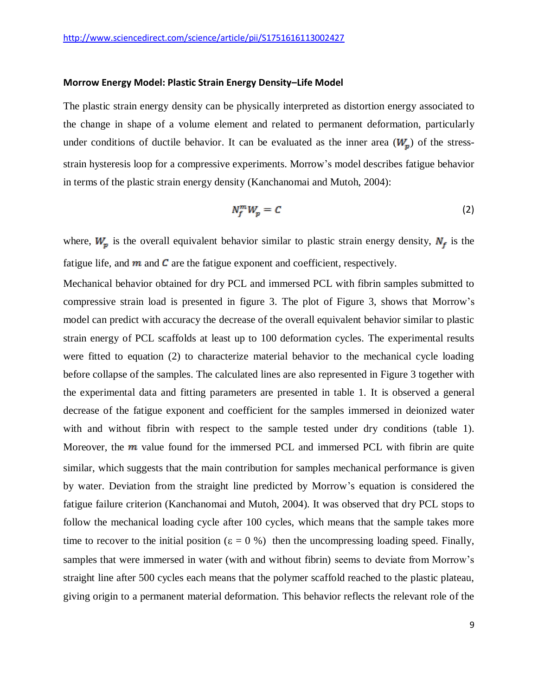#### **Morrow Energy Model: Plastic Strain Energy Density–Life Model**

The plastic strain energy density can be physically interpreted as distortion energy associated to the change in shape of a volume element and related to permanent deformation, particularly under conditions of ductile behavior. It can be evaluated as the inner area  $(W_n)$  of the stressstrain hysteresis loop for a compressive experiments. Morrow's model describes fatigue behavior in terms of the plastic strain energy density [\(Kanchanomai and Mutoh, 2004\)](#page-14-11):

$$
N_f^m W_p = C \tag{2}
$$

where,  $W_p$  is the overall equivalent behavior similar to plastic strain energy density,  $N_f$  is the fatigue life, and  $\boldsymbol{m}$  and  $\boldsymbol{C}$  are the fatigue exponent and coefficient, respectively.

Mechanical behavior obtained for dry PCL and immersed PCL with fibrin samples submitted to compressive strain load is presented in figure 3. The plot of Figure 3, shows that Morrow's model can predict with accuracy the decrease of the overall equivalent behavior similar to plastic strain energy of PCL scaffolds at least up to 100 deformation cycles. The experimental results were fitted to equation (2) to characterize material behavior to the mechanical cycle loading before collapse of the samples. The calculated lines are also represented in Figure 3 together with the experimental data and fitting parameters are presented in table 1. It is observed a general decrease of the fatigue exponent and coefficient for the samples immersed in deionized water with and without fibrin with respect to the sample tested under dry conditions (table 1). Moreover, the  $m$  value found for the immersed PCL and immersed PCL with fibrin are quite similar, which suggests that the main contribution for samples mechanical performance is given by water. Deviation from the straight line predicted by Morrow's equation is considered the fatigue failure criterion [\(Kanchanomai and Mutoh, 2004\)](#page-14-11). It was observed that dry PCL stops to follow the mechanical loading cycle after 100 cycles, which means that the sample takes more time to recover to the initial position ( $\varepsilon = 0$ %) then the uncompressing loading speed. Finally, samples that were immersed in water (with and without fibrin) seems to deviate from Morrow's straight line after 500 cycles each means that the polymer scaffold reached to the plastic plateau, giving origin to a permanent material deformation. This behavior reflects the relevant role of the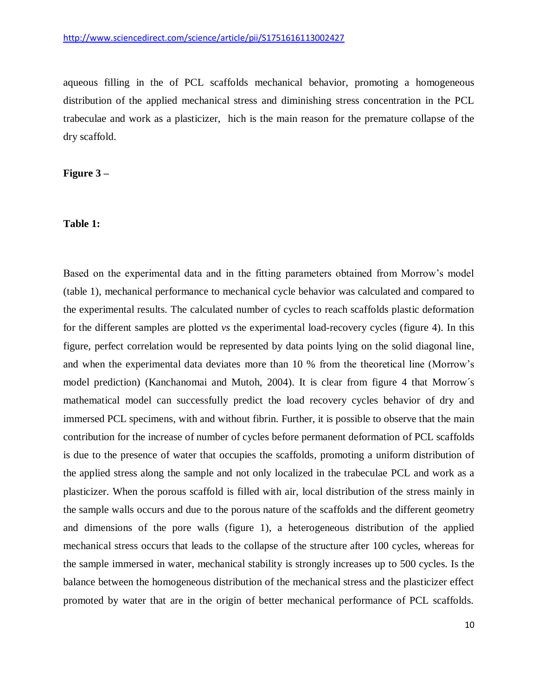aqueous filling in the of PCL scaffolds mechanical behavior, promoting a homogeneous distribution of the applied mechanical stress and diminishing stress concentration in the PCL trabeculae and work as a plasticizer, hich is the main reason for the premature collapse of the dry scaffold.

**Figure 3 –**

## **Table 1:**

Based on the experimental data and in the fitting parameters obtained from Morrow's model (table 1), mechanical performance to mechanical cycle behavior was calculated and compared to the experimental results. The calculated number of cycles to reach scaffolds plastic deformation for the different samples are plotted *vs* the experimental load-recovery cycles (figure 4). In this figure, perfect correlation would be represented by data points lying on the solid diagonal line, and when the experimental data deviates more than 10 % from the theoretical line (Morrow's model prediction) (Kanchanomai and Mutoh, 2004). It is clear from figure 4 that Morrow´s mathematical model can successfully predict the load recovery cycles behavior of dry and immersed PCL specimens, with and without fibrin. Further, it is possible to observe that the main contribution for the increase of number of cycles before permanent deformation of PCL scaffolds is due to the presence of water that occupies the scaffolds, promoting a uniform distribution of the applied stress along the sample and not only localized in the trabeculae PCL and work as a plasticizer. When the porous scaffold is filled with air, local distribution of the stress mainly in the sample walls occurs and due to the porous nature of the scaffolds and the different geometry and dimensions of the pore walls (figure 1), a heterogeneous distribution of the applied mechanical stress occurs that leads to the collapse of the structure after 100 cycles, whereas for the sample immersed in water, mechanical stability is strongly increases up to 500 cycles. Is the balance between the homogeneous distribution of the mechanical stress and the plasticizer effect promoted by water that are in the origin of better mechanical performance of PCL scaffolds.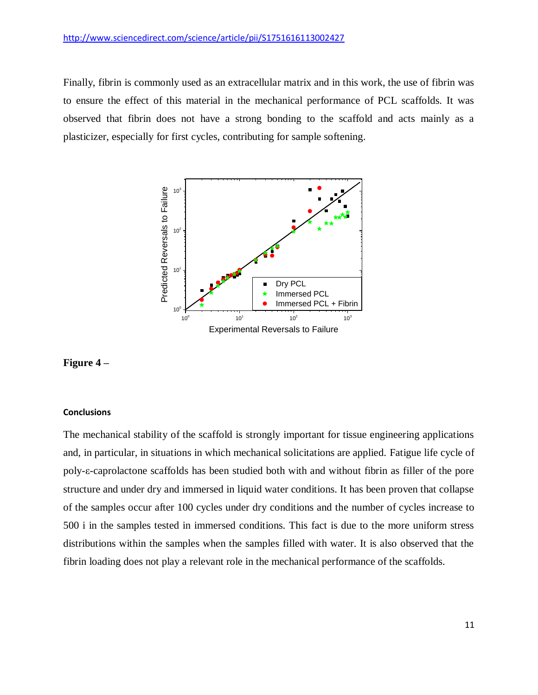#### <http://www.sciencedirect.com/science/article/pii/S1751616113002427>

Finally, fibrin is commonly used as an extracellular matrix and in this work, the use of fibrin was to ensure the effect of this material in the mechanical performance of PCL scaffolds. It was observed that fibrin does not have a strong bonding to the scaffold and acts mainly as a plasticizer, especially for first cycles, contributing for sample softening.



## **Figure 4 –**

#### **Conclusions**

The mechanical stability of the scaffold is strongly important for tissue engineering applications and, in particular, in situations in which mechanical solicitations are applied. Fatigue life cycle of poly-ε-caprolactone scaffolds has been studied both with and without fibrin as filler of the pore structure and under dry and immersed in liquid water conditions. It has been proven that collapse of the samples occur after 100 cycles under dry conditions and the number of cycles increase to 500 i in the samples tested in immersed conditions. This fact is due to the more uniform stress distributions within the samples when the samples filled with water. It is also observed that the fibrin loading does not play a relevant role in the mechanical performance of the scaffolds.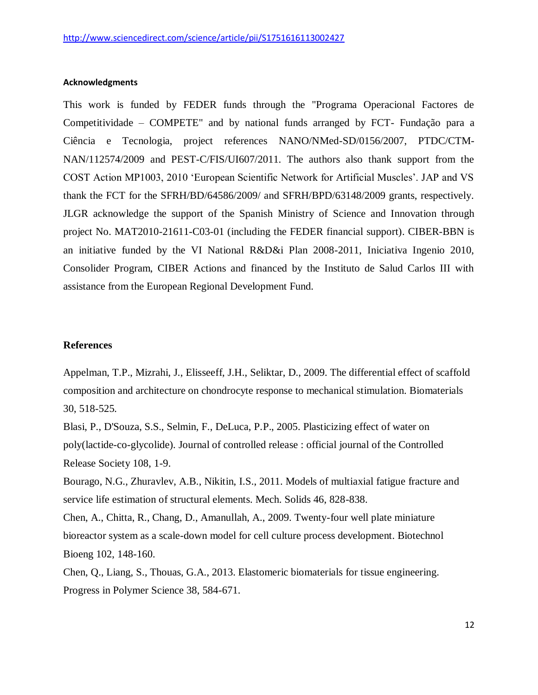## **Acknowledgments**

This work is funded by FEDER funds through the "Programa Operacional Factores de Competitividade – COMPETE" and by national funds arranged by FCT- Fundação para a Ciência e Tecnologia, project references NANO/NMed-SD/0156/2007, PTDC/CTM-NAN/112574/2009 and PEST-C/FIS/UI607/2011. The authors also thank support from the COST Action MP1003, 2010 'European Scientific Network for Artificial Muscles'. JAP and VS thank the FCT for the SFRH/BD/64586/2009/ and SFRH/BPD/63148/2009 grants, respectively. JLGR acknowledge the support of the Spanish Ministry of Science and Innovation through project No. MAT2010-21611-C03-01 (including the FEDER financial support). CIBER-BBN is an initiative funded by the VI National R&D&i Plan 2008-2011, Iniciativa Ingenio 2010, Consolider Program, CIBER Actions and financed by the Instituto de Salud Carlos III with assistance from the European Regional Development Fund.

#### **References**

<span id="page-12-4"></span>Appelman, T.P., Mizrahi, J., Elisseeff, J.H., Seliktar, D., 2009. The differential effect of scaffold composition and architecture on chondrocyte response to mechanical stimulation. Biomaterials 30, 518-525.

<span id="page-12-2"></span>Blasi, P., D'Souza, S.S., Selmin, F., DeLuca, P.P., 2005. Plasticizing effect of water on poly(lactide-co-glycolide). Journal of controlled release : official journal of the Controlled Release Society 108, 1-9.

<span id="page-12-3"></span>Bourago, N.G., Zhuravlev, A.B., Nikitin, I.S., 2011. Models of multiaxial fatigue fracture and service life estimation of structural elements. Mech. Solids 46, 828-838.

<span id="page-12-1"></span>Chen, A., Chitta, R., Chang, D., Amanullah, A., 2009. Twenty-four well plate miniature bioreactor system as a scale-down model for cell culture process development. Biotechnol Bioeng 102, 148-160.

<span id="page-12-0"></span>Chen, Q., Liang, S., Thouas, G.A., 2013. Elastomeric biomaterials for tissue engineering. Progress in Polymer Science 38, 584-671.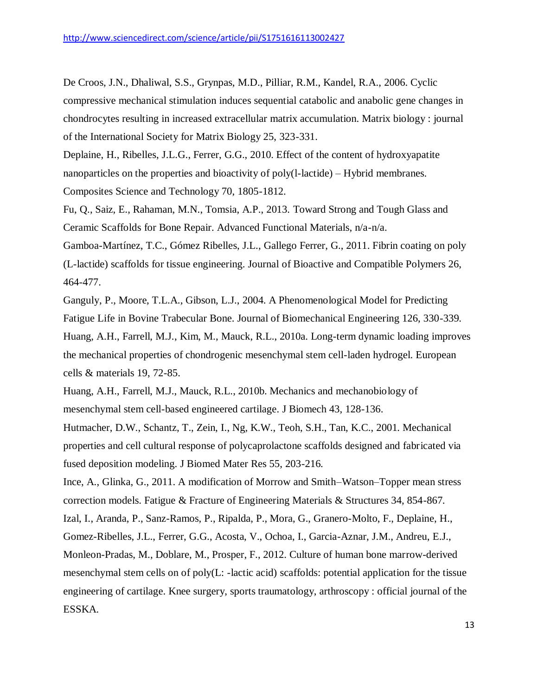<span id="page-13-1"></span>De Croos, J.N., Dhaliwal, S.S., Grynpas, M.D., Pilliar, R.M., Kandel, R.A., 2006. Cyclic compressive mechanical stimulation induces sequential catabolic and anabolic gene changes in chondrocytes resulting in increased extracellular matrix accumulation. Matrix biology : journal of the International Society for Matrix Biology 25, 323-331.

<span id="page-13-9"></span>Deplaine, H., Ribelles, J.L.G., Ferrer, G.G., 2010. Effect of the content of hydroxyapatite nanoparticles on the properties and bioactivity of poly(l-lactide) – Hybrid membranes. Composites Science and Technology 70, 1805-1812.

<span id="page-13-5"></span>Fu, Q., Saiz, E., Rahaman, M.N., Tomsia, A.P., 2013. Toward Strong and Tough Glass and Ceramic Scaffolds for Bone Repair. Advanced Functional Materials, n/a-n/a.

<span id="page-13-7"></span>Gamboa-Martínez, T.C., Gómez Ribelles, J.L., Gallego Ferrer, G., 2011. Fibrin coating on poly (L-lactide) scaffolds for tissue engineering. Journal of Bioactive and Compatible Polymers 26, 464-477.

<span id="page-13-6"></span><span id="page-13-2"></span>Ganguly, P., Moore, T.L.A., Gibson, L.J., 2004. A Phenomenological Model for Predicting Fatigue Life in Bovine Trabecular Bone. Journal of Biomechanical Engineering 126, 330-339. Huang, A.H., Farrell, M.J., Kim, M., Mauck, R.L., 2010a. Long-term dynamic loading improves the mechanical properties of chondrogenic mesenchymal stem cell-laden hydrogel. European cells & materials 19, 72-85.

<span id="page-13-0"></span>Huang, A.H., Farrell, M.J., Mauck, R.L., 2010b. Mechanics and mechanobiology of mesenchymal stem cell-based engineered cartilage. J Biomech 43, 128-136.

<span id="page-13-3"></span>Hutmacher, D.W., Schantz, T., Zein, I., Ng, K.W., Teoh, S.H., Tan, K.C., 2001. Mechanical properties and cell cultural response of polycaprolactone scaffolds designed and fabricated via fused deposition modeling. J Biomed Mater Res 55, 203-216.

<span id="page-13-8"></span><span id="page-13-4"></span>Ince, A., Glinka, G., 2011. A modification of Morrow and Smith–Watson–Topper mean stress correction models. Fatigue & Fracture of Engineering Materials & Structures 34, 854-867. Izal, I., Aranda, P., Sanz-Ramos, P., Ripalda, P., Mora, G., Granero-Molto, F., Deplaine, H., Gomez-Ribelles, J.L., Ferrer, G.G., Acosta, V., Ochoa, I., Garcia-Aznar, J.M., Andreu, E.J., Monleon-Pradas, M., Doblare, M., Prosper, F., 2012. Culture of human bone marrow-derived mesenchymal stem cells on of poly(L: -lactic acid) scaffolds: potential application for the tissue engineering of cartilage. Knee surgery, sports traumatology, arthroscopy : official journal of the

ESSKA.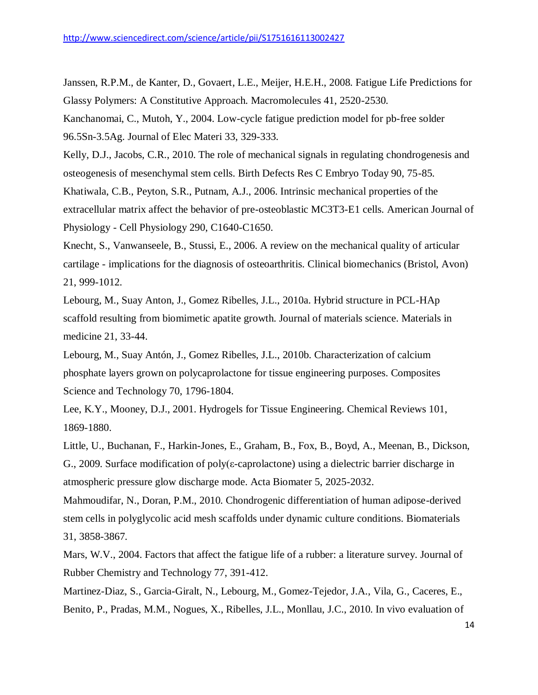<span id="page-14-11"></span><span id="page-14-5"></span>Janssen, R.P.M., de Kanter, D., Govaert, L.E., Meijer, H.E.H., 2008. Fatigue Life Predictions for Glassy Polymers: A Constitutive Approach. Macromolecules 41, 2520-2530. Kanchanomai, C., Mutoh, Y., 2004. Low-cycle fatigue prediction model for pb-free solder 96.5Sn-3.5Ag. Journal of Elec Materi 33, 329-333.

<span id="page-14-0"></span>Kelly, D.J., Jacobs, C.R., 2010. The role of mechanical signals in regulating chondrogenesis and osteogenesis of mesenchymal stem cells. Birth Defects Res C Embryo Today 90, 75-85.

<span id="page-14-1"></span>Khatiwala, C.B., Peyton, S.R., Putnam, A.J., 2006. Intrinsic mechanical properties of the extracellular matrix affect the behavior of pre-osteoblastic MC3T3-E1 cells. American Journal of Physiology - Cell Physiology 290, C1640-C1650.

<span id="page-14-2"></span>Knecht, S., Vanwanseele, B., Stussi, E., 2006. A review on the mechanical quality of articular cartilage - implications for the diagnosis of osteoarthritis. Clinical biomechanics (Bristol, Avon) 21, 999-1012.

<span id="page-14-7"></span>Lebourg, M., Suay Anton, J., Gomez Ribelles, J.L., 2010a. Hybrid structure in PCL-HAp scaffold resulting from biomimetic apatite growth. Journal of materials science. Materials in medicine 21, 33-44.

<span id="page-14-8"></span>Lebourg, M., Suay Antón, J., Gomez Ribelles, J.L., 2010b. Characterization of calcium phosphate layers grown on polycaprolactone for tissue engineering purposes. Composites Science and Technology 70, 1796-1804.

<span id="page-14-6"></span>Lee, K.Y., Mooney, D.J., 2001. Hydrogels for Tissue Engineering. Chemical Reviews 101, 1869-1880.

<span id="page-14-10"></span>Little, U., Buchanan, F., Harkin-Jones, E., Graham, B., Fox, B., Boyd, A., Meenan, B., Dickson, G., 2009. Surface modification of poly(ε-caprolactone) using a dielectric barrier discharge in atmospheric pressure glow discharge mode. Acta Biomater 5, 2025-2032.

<span id="page-14-3"></span>Mahmoudifar, N., Doran, P.M., 2010. Chondrogenic differentiation of human adipose-derived stem cells in polyglycolic acid mesh scaffolds under dynamic culture conditions. Biomaterials 31, 3858-3867.

<span id="page-14-4"></span>Mars, W.V., 2004. Factors that affect the fatigue life of a rubber: a literature survey. Journal of Rubber Chemistry and Technology 77, 391-412.

<span id="page-14-9"></span>Martinez-Diaz, S., Garcia-Giralt, N., Lebourg, M., Gomez-Tejedor, J.A., Vila, G., Caceres, E., Benito, P., Pradas, M.M., Nogues, X., Ribelles, J.L., Monllau, J.C., 2010. In vivo evaluation of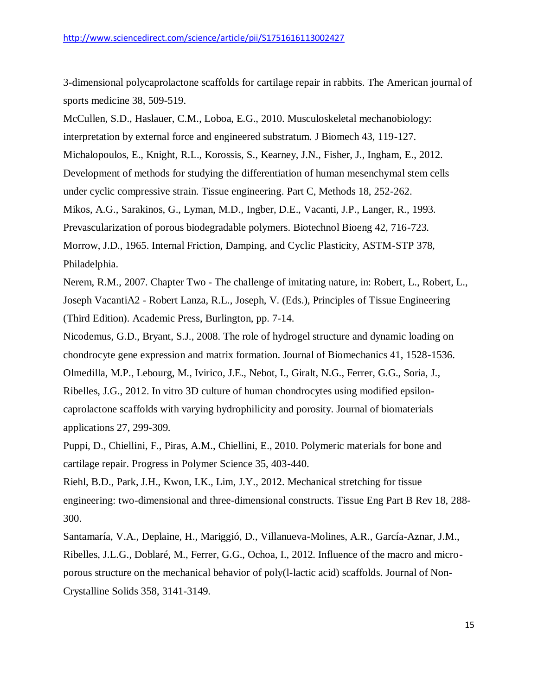3-dimensional polycaprolactone scaffolds for cartilage repair in rabbits. The American journal of sports medicine 38, 509-519.

<span id="page-15-8"></span><span id="page-15-2"></span>McCullen, S.D., Haslauer, C.M., Loboa, E.G., 2010. Musculoskeletal mechanobiology: interpretation by external force and engineered substratum. J Biomech 43, 119-127. Michalopoulos, E., Knight, R.L., Korossis, S., Kearney, J.N., Fisher, J., Ingham, E., 2012. Development of methods for studying the differentiation of human mesenchymal stem cells under cyclic compressive strain. Tissue engineering. Part C, Methods 18, 252-262. Mikos, A.G., Sarakinos, G., Lyman, M.D., Ingber, D.E., Vacanti, J.P., Langer, R., 1993. Prevascularization of porous biodegradable polymers. Biotechnol Bioeng 42, 716-723. Morrow, J.D., 1965. Internal Friction, Damping, and Cyclic Plasticity, ASTM-STP 378, Philadelphia.

<span id="page-15-5"></span><span id="page-15-1"></span><span id="page-15-0"></span>Nerem, R.M., 2007. Chapter Two - The challenge of imitating nature, in: Robert, L., Robert, L., Joseph VacantiA2 - Robert Lanza, R.L., Joseph, V. (Eds.), Principles of Tissue Engineering (Third Edition). Academic Press, Burlington, pp. 7-14.

<span id="page-15-9"></span><span id="page-15-7"></span>Nicodemus, G.D., Bryant, S.J., 2008. The role of hydrogel structure and dynamic loading on chondrocyte gene expression and matrix formation. Journal of Biomechanics 41, 1528-1536. Olmedilla, M.P., Lebourg, M., Ivirico, J.E., Nebot, I., Giralt, N.G., Ferrer, G.G., Soria, J., Ribelles, J.G., 2012. In vitro 3D culture of human chondrocytes using modified epsiloncaprolactone scaffolds with varying hydrophilicity and porosity. Journal of biomaterials applications 27, 299-309.

<span id="page-15-4"></span>Puppi, D., Chiellini, F., Piras, A.M., Chiellini, E., 2010. Polymeric materials for bone and cartilage repair. Progress in Polymer Science 35, 403-440.

<span id="page-15-3"></span>Riehl, B.D., Park, J.H., Kwon, I.K., Lim, J.Y., 2012. Mechanical stretching for tissue engineering: two-dimensional and three-dimensional constructs. Tissue Eng Part B Rev 18, 288- 300.

<span id="page-15-6"></span>Santamaría, V.A., Deplaine, H., Mariggió, D., Villanueva-Molines, A.R., García-Aznar, J.M., Ribelles, J.L.G., Doblaré, M., Ferrer, G.G., Ochoa, I., 2012. Influence of the macro and microporous structure on the mechanical behavior of poly(l-lactic acid) scaffolds. Journal of Non-Crystalline Solids 358, 3141-3149.